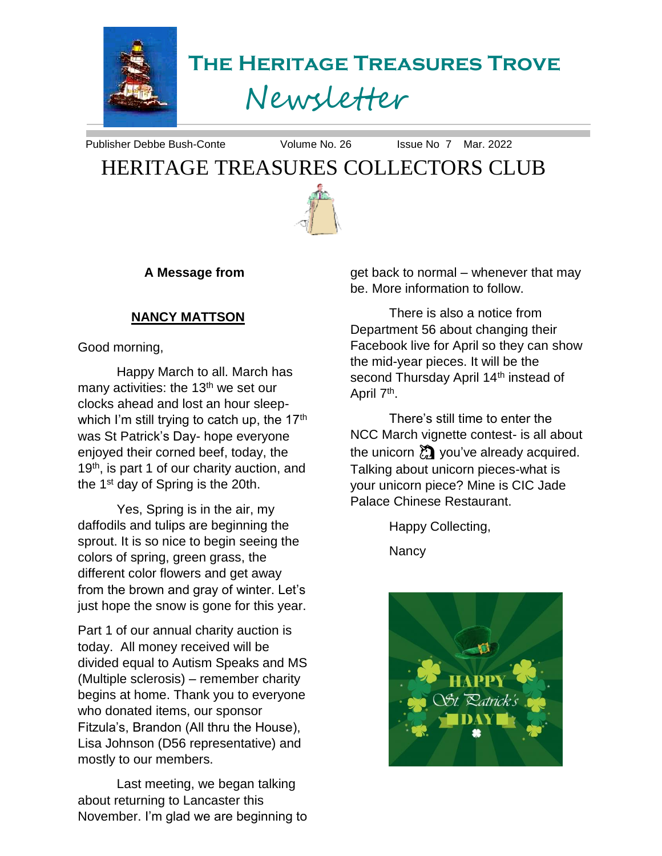

**The Heritage Treasures Trove**

# Newsletter

Publisher Debbe Bush-Conte Volume No. 26 Issue No 7 Mar. 2022

# HERITAGE TREASURES COLLECTORS CLUB



**A Message from**

#### **NANCY MATTSON**

Good morning,

Happy March to all. March has many activities: the 13<sup>th</sup> we set our clocks ahead and lost an hour sleepwhich I'm still trying to catch up, the 17<sup>th</sup> was St Patrick's Day- hope everyone enjoyed their corned beef, today, the 19<sup>th</sup>, is part 1 of our charity auction, and the 1<sup>st</sup> day of Spring is the 20th.

Yes, Spring is in the air, my daffodils and tulips are beginning the sprout. It is so nice to begin seeing the colors of spring, green grass, the different color flowers and get away from the brown and gray of winter. Let's just hope the snow is gone for this year.

Part 1 of our annual charity auction is today. All money received will be divided equal to Autism Speaks and MS (Multiple sclerosis) – remember charity begins at home. Thank you to everyone who donated items, our sponsor Fitzula's, Brandon (All thru the House), Lisa Johnson (D56 representative) and mostly to our members.

Last meeting, we began talking about returning to Lancaster this November. I'm glad we are beginning to get back to normal – whenever that may be. More information to follow.

There is also a notice from Department 56 about changing their Facebook live for April so they can show the mid-year pieces. It will be the second Thursday April 14<sup>th</sup> instead of April 7<sup>th</sup>.

There's still time to enter the NCC March vignette contest- is all about the unicorn  $\sum_{i=1}^{\infty}$  you've already acquired. Talking about unicorn pieces-what is your unicorn piece? Mine is CIC Jade Palace Chinese Restaurant.

Happy Collecting,

**Nancy** 

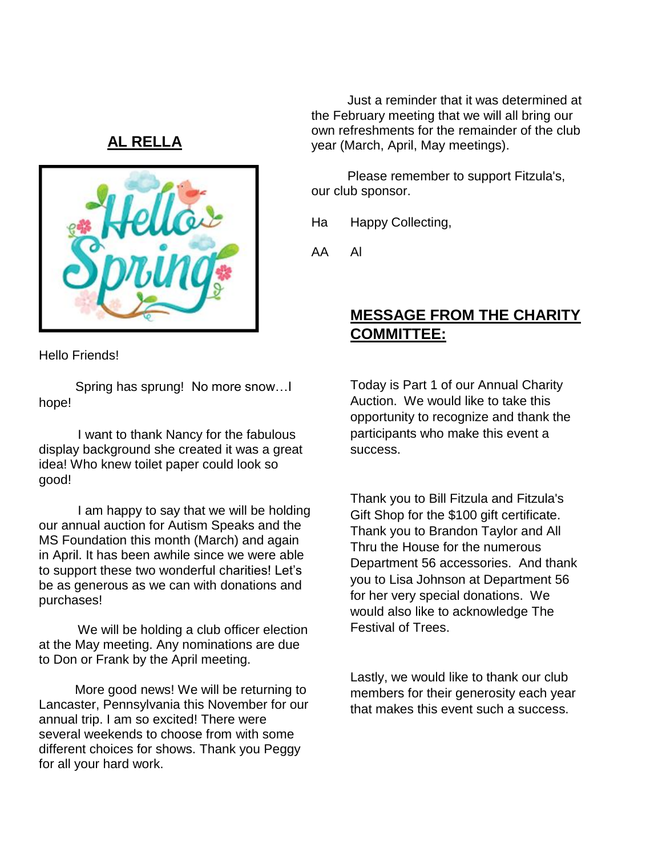## **AL RELLA**



Just a reminder that it was determined at the February meeting that we will all bring our own refreshments for the remainder of the club year (March, April, May meetings).

Please remember to support Fitzula's, our club sponsor.

Ha Happy Collecting,

AA Al

## **MESSAGE FROM THE CHARITY COMMITTEE:**

Hello Friends!

Spring has sprung! No more snow…I hope!

I want to thank Nancy for the fabulous display background she created it was a great idea! Who knew toilet paper could look so good!

I am happy to say that we will be holding our annual auction for Autism Speaks and the MS Foundation this month (March) and again in April. It has been awhile since we were able to support these two wonderful charities! Let's be as generous as we can with donations and purchases!

We will be holding a club officer election at the May meeting. Any nominations are due to Don or Frank by the April meeting.

More good news! We will be returning to Lancaster, Pennsylvania this November for our annual trip. I am so excited! There were several weekends to choose from with some different choices for shows. Thank you Peggy for all your hard work.

Today is Part 1 of our Annual Charity Auction. We would like to take this opportunity to recognize and thank the participants who make this event a success.

Thank you to Bill Fitzula and Fitzula's Gift Shop for the \$100 gift certificate. Thank you to Brandon Taylor and All Thru the House for the numerous Department 56 accessories. And thank you to Lisa Johnson at Department 56 for her very special donations. We would also like to acknowledge The Festival of Trees.

Lastly, we would like to thank our club members for their generosity each year that makes this event such a success.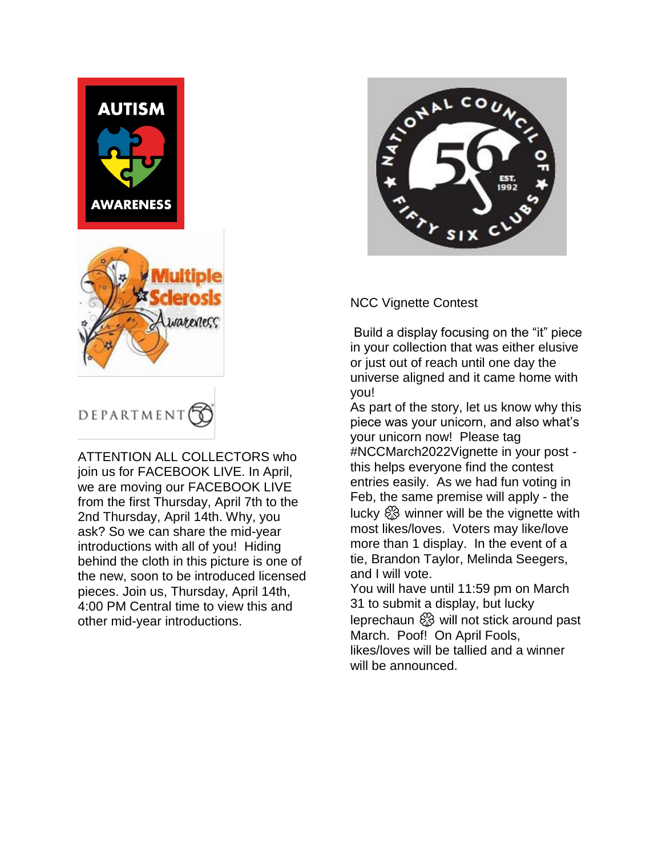



ATTENTION ALL COLLECTORS who join us for FACEBOOK LIVE. In April, we are moving our FACEBOOK LIVE from the first Thursday, April 7th to the 2nd Thursday, April 14th. Why, you ask? So we can share the mid-year introductions with all of you! Hiding behind the cloth in this picture is one of the new, soon to be introduced licensed pieces. Join us, Thursday, April 14th, 4:00 PM Central time to view this and other mid-year introductions.



#### NCC Vignette Contest

Build a display focusing on the "it" piece in your collection that was either elusive or just out of reach until one day the universe aligned and it came home with you!

As part of the story, let us know why this piece was your unicorn, and also what's your unicorn now! Please tag #NCCMarch2022Vignette in your post this helps everyone find the contest entries easily. As we had fun voting in Feb, the same premise will apply - the lucky  $\otimes$  winner will be the vignette with most likes/loves. Voters may like/love more than 1 display. In the event of a tie, Brandon Taylor, Melinda Seegers, and I will vote.

You will have until 11:59 pm on March 31 to submit a display, but lucky leprechaun  $\frac{80}{20}$  will not stick around past March. Poof! On April Fools, likes/loves will be tallied and a winner will be announced.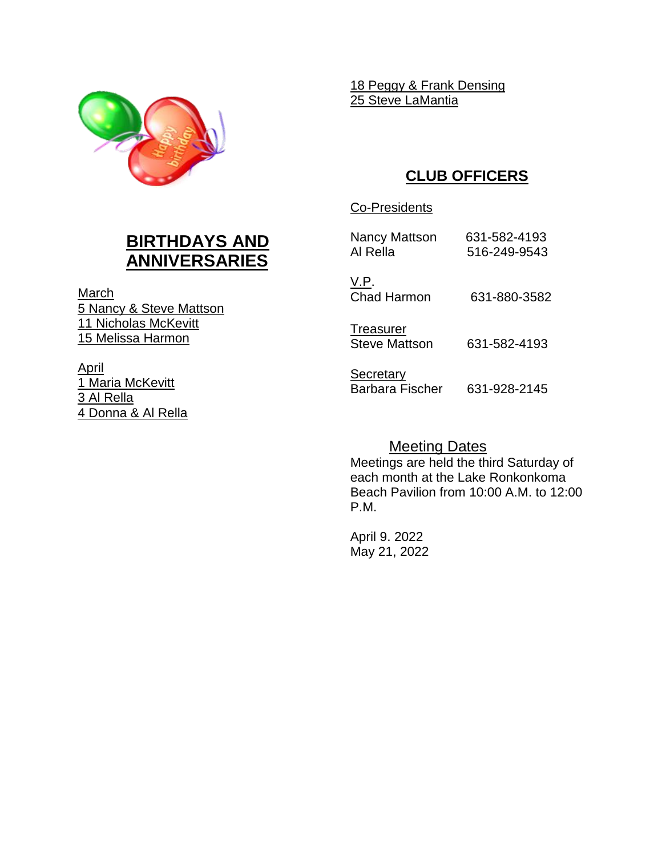

18 Peggy & Frank Densing 25 Steve LaMantia

# **CLUB OFFICERS**

#### Co-Presidents

Nancy Mattson 631-582-4193 Al Rella 516-249-9543

V.P. Chad Harmon 631-880-3582

**Treasurer** Steve Mattson 631-582-4193

**Secretary** Barbara Fischer 631-928-2145

Meeting Dates

Meetings are held the third Saturday of each month at the Lake Ronkonkoma Beach Pavilion from 10:00 A.M. to 12:00 P.M.

April 9. 2022 May 21, 2022

# **BIRTHDAYS AND ANNIVERSARIES**

March 5 Nancy & Steve Mattson 11 Nicholas McKevitt 15 Melissa Harmon

April 1 Maria McKevitt 3 Al Rella 4 Donna & Al Rella